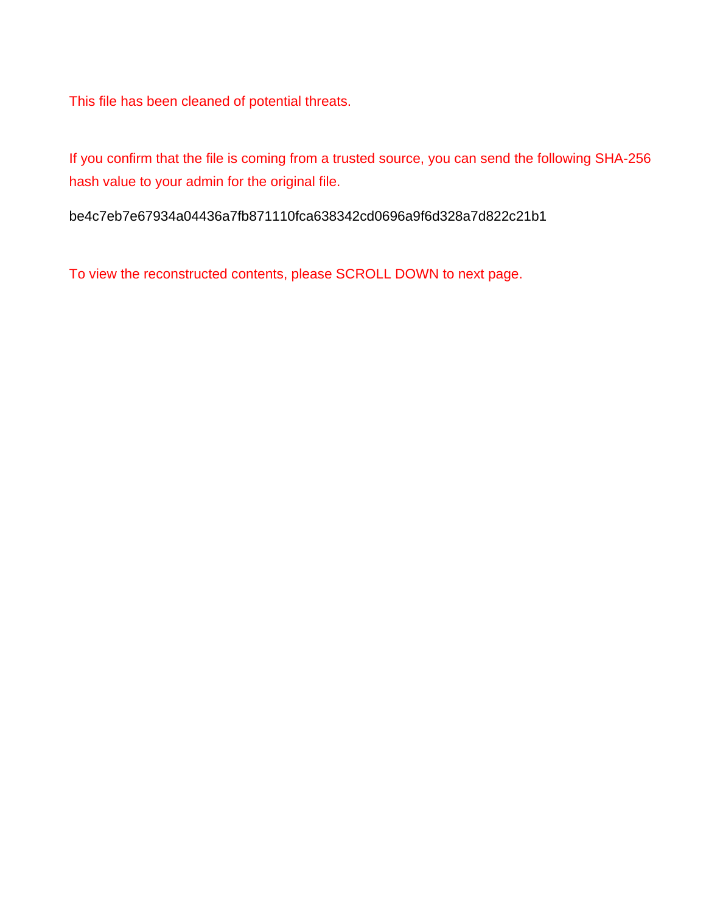This file has been cleaned of potential threats.

If you confirm that the file is coming from a trusted source, you can send the following SHA-256 hash value to your admin for the original file.

be4c7eb7e67934a04436a7fb871110fca638342cd0696a9f6d328a7d822c21b1

To view the reconstructed contents, please SCROLL DOWN to next page.